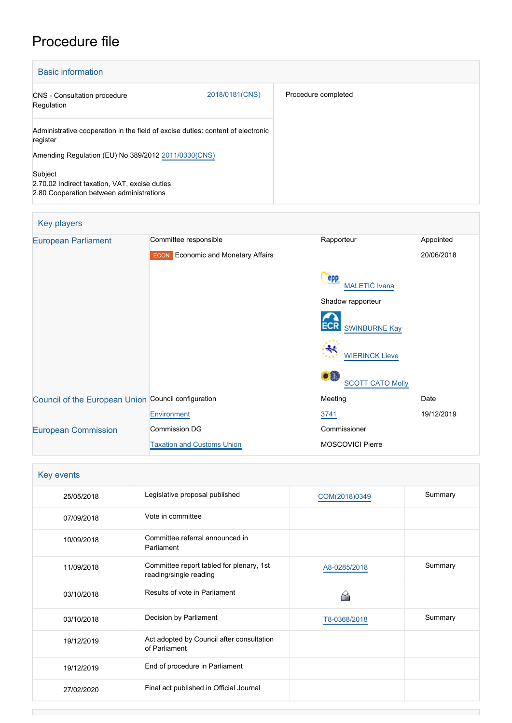# Procedure file

| <b>Basic information</b>                                                                             |                |                     |  |
|------------------------------------------------------------------------------------------------------|----------------|---------------------|--|
| <b>CNS</b> - Consultation procedure<br>Regulation                                                    | 2018/0181(CNS) | Procedure completed |  |
| Administrative cooperation in the field of excise duties: content of electronic<br>register          |                |                     |  |
| Amending Regulation (EU) No 389/2012 2011/0330(CNS)                                                  |                |                     |  |
| Subject<br>2.70.02 Indirect taxation, VAT, excise duties<br>2.80 Cooperation between administrations |                |                     |  |

| Key players                                         |                                              |                                |            |
|-----------------------------------------------------|----------------------------------------------|--------------------------------|------------|
| <b>European Parliament</b>                          | Committee responsible                        | Rapporteur                     | Appointed  |
|                                                     | Economic and Monetary Affairs<br><b>ECON</b> |                                | 20/06/2018 |
|                                                     |                                              | epp<br>MALETIĆ Ivana           |            |
|                                                     |                                              | Shadow rapporteur              |            |
|                                                     |                                              | <b>SWINBURNE Kay</b>           |            |
|                                                     |                                              | ₩<br><b>WIERINCK Lieve</b>     |            |
|                                                     |                                              | o ä<br><b>SCOTT CATO Molly</b> |            |
| Council of the European Union Council configuration |                                              | Meeting                        | Date       |
|                                                     | Environment                                  | 3741                           | 19/12/2019 |
| <b>European Commission</b>                          | <b>Commission DG</b>                         | Commissioner                   |            |
|                                                     | <b>Taxation and Customs Union</b>            | <b>MOSCOVICI Pierre</b>        |            |

| Key events |                                                                    |               |         |  |
|------------|--------------------------------------------------------------------|---------------|---------|--|
| 25/05/2018 | Legislative proposal published                                     | COM(2018)0349 | Summary |  |
| 07/09/2018 | Vote in committee                                                  |               |         |  |
| 10/09/2018 | Committee referral announced in<br>Parliament                      |               |         |  |
| 11/09/2018 | Committee report tabled for plenary, 1st<br>reading/single reading | A8-0285/2018  | Summary |  |
| 03/10/2018 | Results of vote in Parliament                                      |               |         |  |
| 03/10/2018 | Decision by Parliament                                             | T8-0368/2018  | Summary |  |
| 19/12/2019 | Act adopted by Council after consultation<br>of Parliament         |               |         |  |
| 19/12/2019 | End of procedure in Parliament                                     |               |         |  |
| 27/02/2020 | Final act published in Official Journal                            |               |         |  |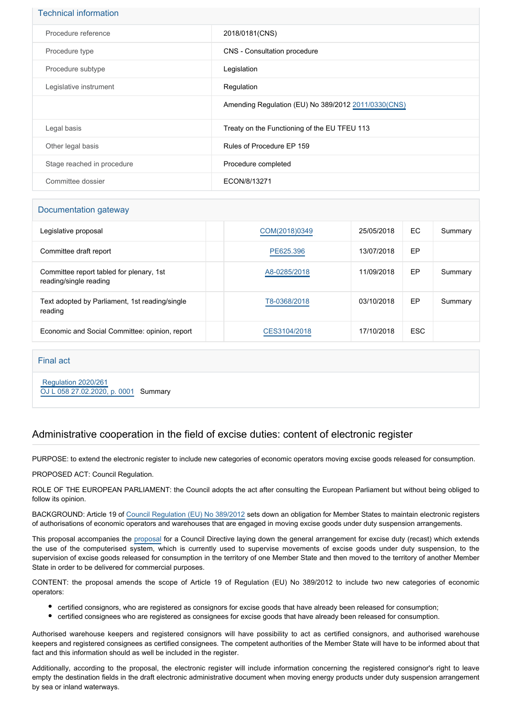| <b>Technical information</b> |                                                      |
|------------------------------|------------------------------------------------------|
| Procedure reference          | 2018/0181(CNS)                                       |
| Procedure type               | CNS - Consultation procedure                         |
| Procedure subtype            | Legislation                                          |
| Legislative instrument       | Regulation                                           |
|                              | Amending Regulation (EU) No 389/2012 2011/0330 (CNS) |
| Legal basis                  | Treaty on the Functioning of the EU TFEU 113         |
| Other legal basis            | Rules of Procedure EP 159                            |
| Stage reached in procedure   | Procedure completed                                  |
| Committee dossier            | ECON/8/13271                                         |

## Documentation gateway

| Legislative proposal                                               | COM(2018)0349 | 25/05/2018 | EC         | Summary |
|--------------------------------------------------------------------|---------------|------------|------------|---------|
| Committee draft report                                             | PE625.396     | 13/07/2018 | EP         |         |
| Committee report tabled for plenary, 1st<br>reading/single reading | A8-0285/2018  | 11/09/2018 | EP         | Summary |
| Text adopted by Parliament, 1st reading/single<br>reading          | T8-0368/2018  | 03/10/2018 | EP         | Summary |
| Economic and Social Committee: opinion, report                     | CES3104/2018  | 17/10/2018 | <b>ESC</b> |         |

### Final act

 [Regulation 2020/261](https://eur-lex.europa.eu/smartapi/cgi/sga_doc?smartapi!celexplus!prod!CELEXnumdoc&lg=EN&numdoc=32020R0261) [OJ L 058 27.02.2020, p. 0001](https://eur-lex.europa.eu/legal-content/EN/TXT/?uri=OJ:L:2020:058:TOC) Summary

## Administrative cooperation in the field of excise duties: content of electronic register

PURPOSE: to extend the electronic register to include new categories of economic operators moving excise goods released for consumption.

#### PROPOSED ACT: Council Regulation.

ROLE OF THE EUROPEAN PARLIAMENT: the Council adopts the act after consulting the European Parliament but without being obliged to follow its opinion.

BACKGROUND: Article 19 of [Council Regulation \(EU\) No 389/2012](https://eur-lex.europa.eu/legal-content/EN/TXT/?qid=1530459031175&uri=CELEX:02012R0389-20130701) sets down an obligation for Member States to maintain electronic registers of authorisations of economic operators and warehouses that are engaged in moving excise goods under duty suspension arrangements.

This proposal accompanies the [proposal](http://www.europarl.europa.eu/oeil/popups/ficheprocedure.do?reference=2018/0176(CNS)&l=en) for a Council Directive laying down the general arrangement for excise duty (recast) which extends the use of the computerised system, which is currently used to supervise movements of excise goods under duty suspension, to the supervision of excise goods released for consumption in the territory of one Member State and then moved to the territory of another Member State in order to be delivered for commercial purposes.

CONTENT: the proposal amends the scope of Article 19 of Regulation (EU) No 389/2012 to include two new categories of economic operators:

- certified consignors, who are registered as consignors for excise goods that have already been released for consumption;
- certified consignees who are registered as consignees for excise goods that have already been released for consumption.

Authorised warehouse keepers and registered consignors will have possibility to act as certified consignors, and authorised warehouse keepers and registered consignees as certified consignees. The competent authorities of the Member State will have to be informed about that fact and this information should as well be included in the register.

Additionally, according to the proposal, the electronic register will include information concerning the registered consignor's right to leave empty the destination fields in the draft electronic administrative document when moving energy products under duty suspension arrangement by sea or inland waterways.